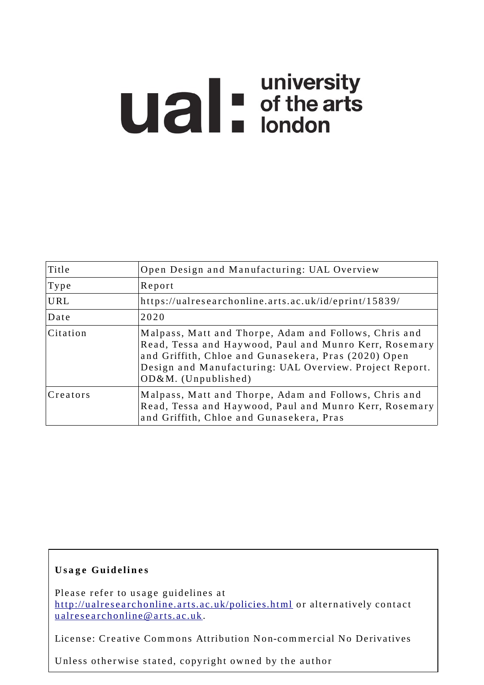# **university**<br> **university**<br> **of the arts**<br> **ondon**

| Title        | Open Design and Manufacturing: UAL Overview                                                                                                                                                                                                                 |
|--------------|-------------------------------------------------------------------------------------------------------------------------------------------------------------------------------------------------------------------------------------------------------------|
| $\Gamma$ ype | Report                                                                                                                                                                                                                                                      |
| <b>URL</b>   | https://ualresearchonline.arts.ac.uk/id/eprint/15839/                                                                                                                                                                                                       |
| Date         | 2020                                                                                                                                                                                                                                                        |
| Citation     | Malpass, Matt and Thorpe, Adam and Follows, Chris and<br>Read, Tessa and Haywood, Paul and Munro Kerr, Rosemary<br>and Griffith, Chloe and Gunasekera, Pras (2020) Open<br>Design and Manufacturing: UAL Overview. Project Report.<br>$OD&M.$ (Unpublished) |
| Creators     | Malpass, Matt and Thorpe, Adam and Follows, Chris and<br>Read, Tessa and Haywood, Paul and Munro Kerr, Rosemary<br>and Griffith, Chloe and Gunasekera, Pras                                                                                                 |

#### **U s a g e Gui d e li n e s**

Please refer to usage guidelines at http://ualresearchonline.arts.ac.uk/policies.html or alternatively contact u alres e archonline@ arts.ac.uk.

License: Creative Commons Attribution Non-commercial No Derivatives

Unless otherwise stated, copyright owned by the author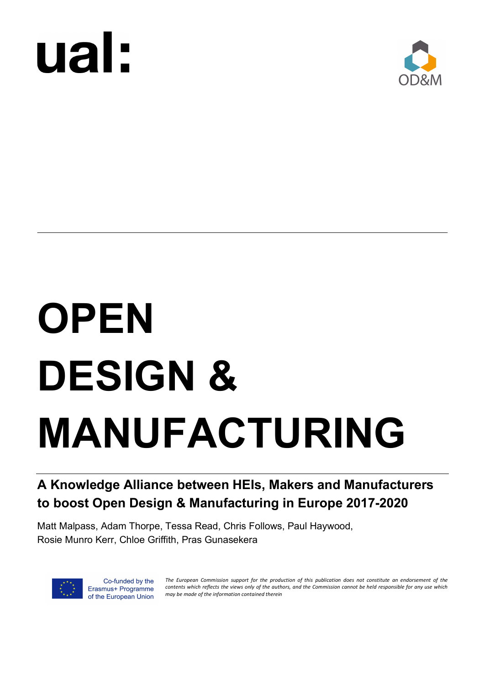



## **OPEN DESIGN & MANUFACTURING**

#### **A Knowledge Alliance between HEIs, Makers and Manufacturers to boost Open Design & Manufacturing in Europe 2017-2020**

Matt Malpass, Adam Thorpe, Tessa Read, Chris Follows, Paul Haywood, Rosie Munro Kerr, Chloe Griffith, Pras Gunasekera



Co-funded by the Erasmus+ Programme of the European Union *The European Commission support for the production of this publication does not constitute an endorsement of the contents which reflects the views only of the authors, and the Commission cannot be held responsible for any use which may be made of the information contained therein*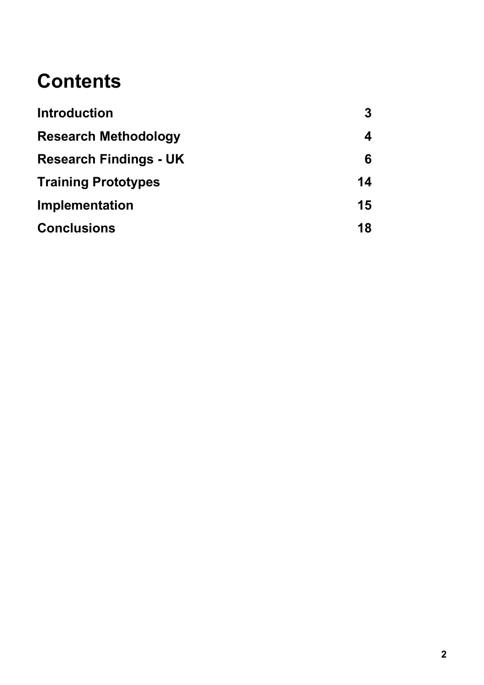## **Contents**

| <b>Introduction</b>           | 3  |
|-------------------------------|----|
| <b>Research Methodology</b>   | 4  |
| <b>Research Findings - UK</b> | 6  |
| <b>Training Prototypes</b>    | 14 |
| Implementation                | 15 |
| <b>Conclusions</b>            | 18 |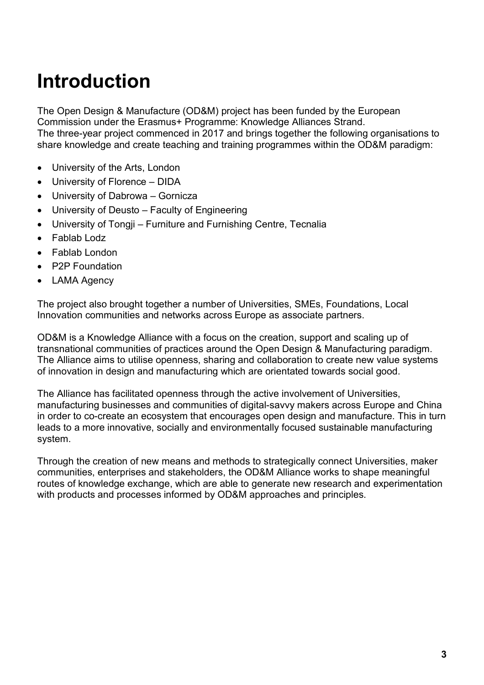## **Introduction**

The Open Design & Manufacture (OD&M) project has been funded by the European Commission under the Erasmus+ Programme: Knowledge Alliances Strand.

The three-year project commenced in 2017 and brings together the following organisations to share knowledge and create teaching and training programmes within the OD&M paradigm:

- University of the Arts, London
- University of Florence DIDA
- University of Dabrowa Gornicza
- University of Deusto Faculty of Engineering
- University of Tongji Furniture and Furnishing Centre, Tecnalia
- Fablab Lodz
- Fablab London
- P2P Foundation
- **LAMA Agency**

The project also brought together a number of Universities, SMEs, Foundations, Local Innovation communities and networks across Europe as associate partners.

OD&M is a Knowledge Alliance with a focus on the creation, support and scaling up of transnational communities of practices around the Open Design & Manufacturing paradigm. The Alliance aims to utilise openness, sharing and collaboration to create new value systems of innovation in design and manufacturing which are orientated towards social good.

The Alliance has facilitated openness through the active involvement of Universities, manufacturing businesses and communities of digital-savvy makers across Europe and China in order to co-create an ecosystem that encourages open design and manufacture. This in turn leads to a more innovative, socially and environmentally focused sustainable manufacturing system.

Through the creation of new means and methods to strategically connect Universities, maker communities, enterprises and stakeholders, the OD&M Alliance works to shape meaningful routes of knowledge exchange, which are able to generate new research and experimentation with products and processes informed by OD&M approaches and principles.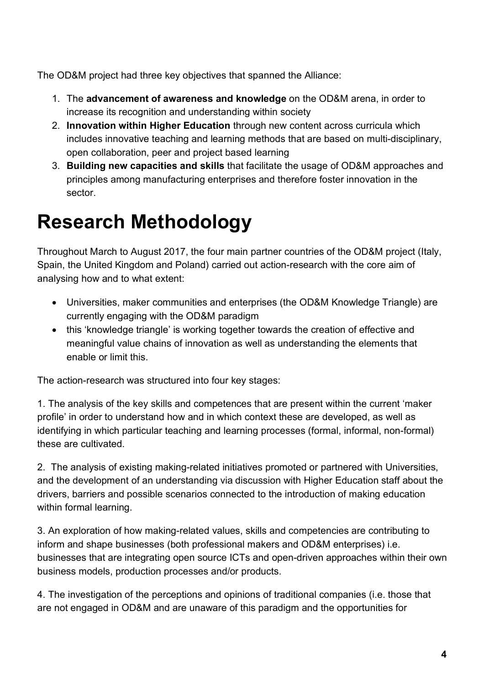The OD&M project had three key objectives that spanned the Alliance:

- 1. The **advancement of awareness and knowledge** on the OD&M arena, in order to increase its recognition and understanding within society
- 2. **Innovation within Higher Education** through new content across curricula which includes innovative teaching and learning methods that are based on multi-disciplinary, open collaboration, peer and project based learning
- 3. **Building new capacities and skills** that facilitate the usage of OD&M approaches and principles among manufacturing enterprises and therefore foster innovation in the sector.

## **Research Methodology**

Throughout March to August 2017, the four main partner countries of the OD&M project (Italy, Spain, the United Kingdom and Poland) carried out action-research with the core aim of analysing how and to what extent:

- Universities, maker communities and enterprises (the OD&M Knowledge Triangle) are currently engaging with the OD&M paradigm
- this 'knowledge triangle' is working together towards the creation of effective and meaningful value chains of innovation as well as understanding the elements that enable or limit this.

The action-research was structured into four key stages:

1. The analysis of the key skills and competences that are present within the current 'maker profile' in order to understand how and in which context these are developed, as well as identifying in which particular teaching and learning processes (formal, informal, non-formal) these are cultivated.

2. The analysis of existing making-related initiatives promoted or partnered with Universities, and the development of an understanding via discussion with Higher Education staff about the drivers, barriers and possible scenarios connected to the introduction of making education within formal learning.

3. An exploration of how making-related values, skills and competencies are contributing to inform and shape businesses (both professional makers and OD&M enterprises) i.e. businesses that are integrating open source ICTs and open-driven approaches within their own business models, production processes and/or products.

4. The investigation of the perceptions and opinions of traditional companies (i.e. those that are not engaged in OD&M and are unaware of this paradigm and the opportunities for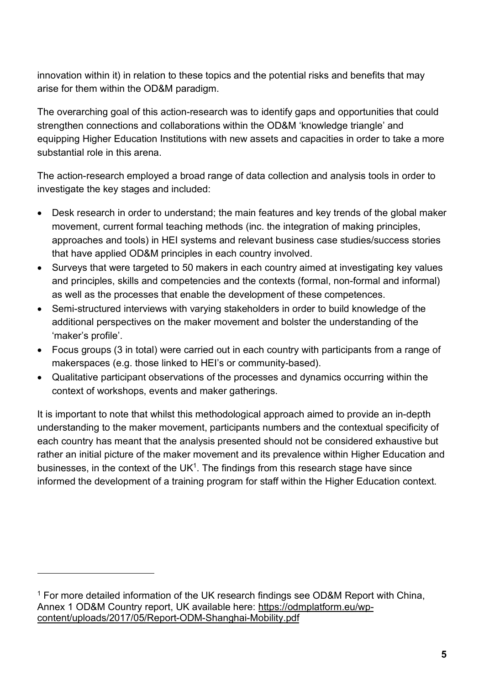innovation within it) in relation to these topics and the potential risks and benefits that may arise for them within the OD&M paradigm.

The overarching goal of this action-research was to identify gaps and opportunities that could strengthen connections and collaborations within the OD&M 'knowledge triangle' and equipping Higher Education Institutions with new assets and capacities in order to take a more substantial role in this arena.

The action-research employed a broad range of data collection and analysis tools in order to investigate the key stages and included:

- Desk research in order to understand; the main features and key trends of the global maker movement, current formal teaching methods (inc. the integration of making principles, approaches and tools) in HEI systems and relevant business case studies/success stories that have applied OD&M principles in each country involved.
- Surveys that were targeted to 50 makers in each country aimed at investigating key values and principles, skills and competencies and the contexts (formal, non-formal and informal) as well as the processes that enable the development of these competences.
- Semi-structured interviews with varying stakeholders in order to build knowledge of the additional perspectives on the maker movement and bolster the understanding of the 'maker's profile'.
- Focus groups (3 in total) were carried out in each country with participants from a range of makerspaces (e.g. those linked to HEI's or community-based).
- Qualitative participant observations of the processes and dynamics occurring within the context of workshops, events and maker gatherings.

It is important to note that whilst this methodological approach aimed to provide an in-depth understanding to the maker movement, participants numbers and the contextual specificity of each country has meant that the analysis presented should not be considered exhaustive but rather an initial picture of the maker movement and its prevalence within Higher Education and businesses, in the context of the  $UK<sup>1</sup>$ . The findings from this research stage have since informed the development of a training program for staff within the Higher Education context.

 $\overline{a}$ 

<sup>&</sup>lt;sup>1</sup> For more detailed information of the UK research findings see OD&M Report with China, Annex 1 OD&M Country report, UK available here: https://odmplatform.eu/wpcontent/uploads/2017/05/Report-ODM-Shanghai-Mobility.pdf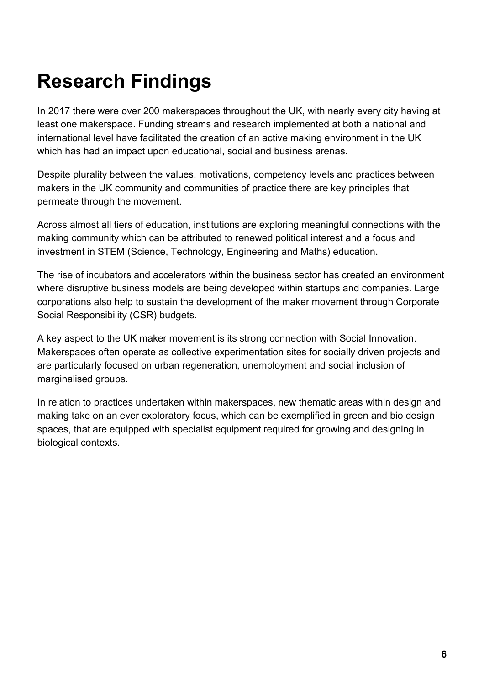## **Research Findings**

In 2017 there were over 200 makerspaces throughout the UK, with nearly every city having at least one makerspace. Funding streams and research implemented at both a national and international level have facilitated the creation of an active making environment in the UK which has had an impact upon educational, social and business arenas.

Despite plurality between the values, motivations, competency levels and practices between makers in the UK community and communities of practice there are key principles that permeate through the movement.

Across almost all tiers of education, institutions are exploring meaningful connections with the making community which can be attributed to renewed political interest and a focus and investment in STEM (Science, Technology, Engineering and Maths) education.

The rise of incubators and accelerators within the business sector has created an environment where disruptive business models are being developed within startups and companies. Large corporations also help to sustain the development of the maker movement through Corporate Social Responsibility (CSR) budgets.

A key aspect to the UK maker movement is its strong connection with Social Innovation. Makerspaces often operate as collective experimentation sites for socially driven projects and are particularly focused on urban regeneration, unemployment and social inclusion of marginalised groups.

In relation to practices undertaken within makerspaces, new thematic areas within design and making take on an ever exploratory focus, which can be exemplified in green and bio design spaces, that are equipped with specialist equipment required for growing and designing in biological contexts.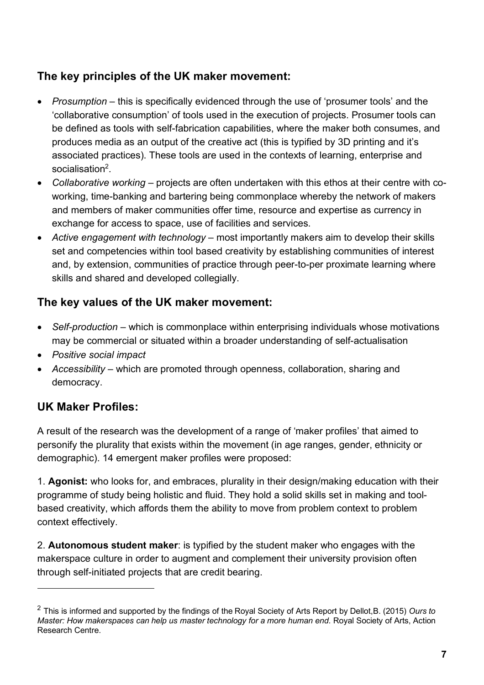#### **The key principles of the UK maker movement:**

- *Prosumption* this is specifically evidenced through the use of 'prosumer tools' and the 'collaborative consumption' of tools used in the execution of projects. Prosumer tools can be defined as tools with self-fabrication capabilities, where the maker both consumes, and produces media as an output of the creative act (this is typified by 3D printing and it's associated practices). These tools are used in the contexts of learning, enterprise and socialisation2.
- *Collaborative working* projects are often undertaken with this ethos at their centre with coworking, time-banking and bartering being commonplace whereby the network of makers and members of maker communities offer time, resource and expertise as currency in exchange for access to space, use of facilities and services.
- *Active engagement with technology* most importantly makers aim to develop their skills set and competencies within tool based creativity by establishing communities of interest and, by extension, communities of practice through peer-to-per proximate learning where skills and shared and developed collegially.

#### **The key values of the UK maker movement:**

- *Self-production* which is commonplace within enterprising individuals whose motivations may be commercial or situated within a broader understanding of self-actualisation
- *Positive social impact*
- *Accessibility* which are promoted through openness, collaboration, sharing and democracy.

#### **UK Maker Profiles:**

l

A result of the research was the development of a range of 'maker profiles' that aimed to personify the plurality that exists within the movement (in age ranges, gender, ethnicity or demographic). 14 emergent maker profiles were proposed:

1. **Agonist:** who looks for, and embraces, plurality in their design/making education with their programme of study being holistic and fluid. They hold a solid skills set in making and toolbased creativity, which affords them the ability to move from problem context to problem context effectively.

2. **Autonomous student maker**: is typified by the student maker who engages with the makerspace culture in order to augment and complement their university provision often through self-initiated projects that are credit bearing.

<sup>2</sup> This is informed and supported by the findings of the Royal Society of Arts Report by Dellot,B. (2015) *Ours to Master: How makerspaces can help us master technology for a more human end*. Royal Society of Arts, Action Research Centre.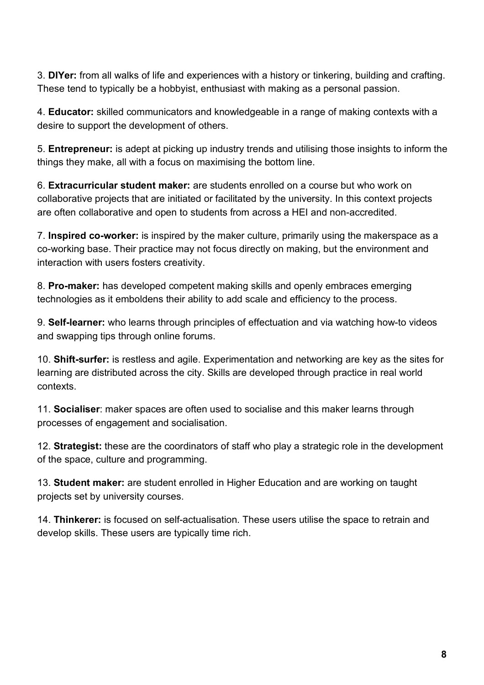3. **DIYer:** from all walks of life and experiences with a history or tinkering, building and crafting. These tend to typically be a hobbyist, enthusiast with making as a personal passion.

4. **Educator:** skilled communicators and knowledgeable in a range of making contexts with a desire to support the development of others.

5. **Entrepreneur:** is adept at picking up industry trends and utilising those insights to inform the things they make, all with a focus on maximising the bottom line.

6. **Extracurricular student maker:** are students enrolled on a course but who work on collaborative projects that are initiated or facilitated by the university. In this context projects are often collaborative and open to students from across a HEI and non-accredited.

7. **Inspired co-worker:** is inspired by the maker culture, primarily using the makerspace as a co-working base. Their practice may not focus directly on making, but the environment and interaction with users fosters creativity.

8. **Pro-maker:** has developed competent making skills and openly embraces emerging technologies as it emboldens their ability to add scale and efficiency to the process.

9. **Self-learner:** who learns through principles of effectuation and via watching how-to videos and swapping tips through online forums.

10. **Shift-surfer:** is restless and agile. Experimentation and networking are key as the sites for learning are distributed across the city. Skills are developed through practice in real world contexts.

11. **Socialiser**: maker spaces are often used to socialise and this maker learns through processes of engagement and socialisation.

12. **Strategist:** these are the coordinators of staff who play a strategic role in the development of the space, culture and programming.

13. **Student maker:** are student enrolled in Higher Education and are working on taught projects set by university courses.

14. **Thinkerer:** is focused on self-actualisation. These users utilise the space to retrain and develop skills. These users are typically time rich.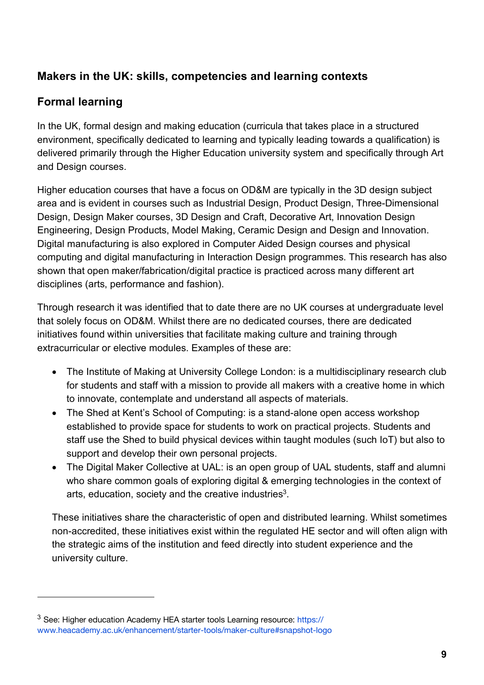#### **Makers in the UK: skills, competencies and learning contexts**

#### **Formal learning**

 $\overline{a}$ 

In the UK, formal design and making education (curricula that takes place in a structured environment, specifically dedicated to learning and typically leading towards a qualification) is delivered primarily through the Higher Education university system and specifically through Art and Design courses.

Higher education courses that have a focus on OD&M are typically in the 3D design subject area and is evident in courses such as Industrial Design, Product Design, Three-Dimensional Design, Design Maker courses, 3D Design and Craft, Decorative Art, Innovation Design Engineering, Design Products, Model Making, Ceramic Design and Design and Innovation. Digital manufacturing is also explored in Computer Aided Design courses and physical computing and digital manufacturing in Interaction Design programmes. This research has also shown that open maker/fabrication/digital practice is practiced across many different art disciplines (arts, performance and fashion).

Through research it was identified that to date there are no UK courses at undergraduate level that solely focus on OD&M. Whilst there are no dedicated courses, there are dedicated initiatives found within universities that facilitate making culture and training through extracurricular or elective modules. Examples of these are:

- The Institute of Making at University College London: is a multidisciplinary research club for students and staff with a mission to provide all makers with a creative home in which to innovate, contemplate and understand all aspects of materials.
- The Shed at Kent's School of Computing: is a stand-alone open access workshop established to provide space for students to work on practical projects. Students and staff use the Shed to build physical devices within taught modules (such IoT) but also to support and develop their own personal projects.
- The Digital Maker Collective at UAL: is an open group of UAL students, staff and alumni who share common goals of exploring digital & emerging technologies in the context of arts, education, society and the creative industries<sup>3</sup>.

These initiatives share the characteristic of open and distributed learning. Whilst sometimes non-accredited, these initiatives exist within the regulated HE sector and will often align with the strategic aims of the institution and feed directly into student experience and the university culture.

<sup>&</sup>lt;sup>3</sup> See: Higher education Academy HEA starter tools Learning resource: https:// www.heacademy.ac.uk/enhancement/starter-tools/maker-culture#snapshot-logo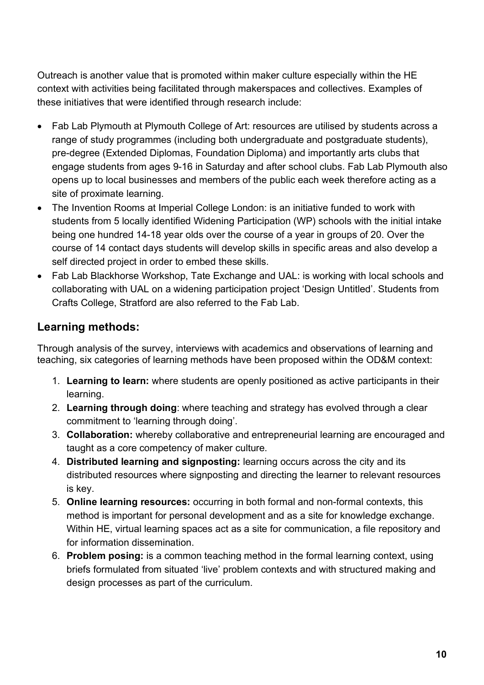Outreach is another value that is promoted within maker culture especially within the HE context with activities being facilitated through makerspaces and collectives. Examples of these initiatives that were identified through research include:

- Fab Lab Plymouth at Plymouth College of Art: resources are utilised by students across a range of study programmes (including both undergraduate and postgraduate students), pre-degree (Extended Diplomas, Foundation Diploma) and importantly arts clubs that engage students from ages 9-16 in Saturday and after school clubs. Fab Lab Plymouth also opens up to local businesses and members of the public each week therefore acting as a site of proximate learning.
- The Invention Rooms at Imperial College London: is an initiative funded to work with students from 5 locally identified Widening Participation (WP) schools with the initial intake being one hundred 14-18 year olds over the course of a year in groups of 20. Over the course of 14 contact days students will develop skills in specific areas and also develop a self directed project in order to embed these skills.
- Fab Lab Blackhorse Workshop, Tate Exchange and UAL: is working with local schools and collaborating with UAL on a widening participation project 'Design Untitled'. Students from Crafts College, Stratford are also referred to the Fab Lab.

#### **Learning methods:**

Through analysis of the survey, interviews with academics and observations of learning and teaching, six categories of learning methods have been proposed within the OD&M context:

- 1. **Learning to learn:** where students are openly positioned as active participants in their learning.
- 2. **Learning through doing**: where teaching and strategy has evolved through a clear commitment to 'learning through doing'.
- 3. **Collaboration:** whereby collaborative and entrepreneurial learning are encouraged and taught as a core competency of maker culture.
- 4. **Distributed learning and signposting:** learning occurs across the city and its distributed resources where signposting and directing the learner to relevant resources is key.
- 5. **Online learning resources:** occurring in both formal and non-formal contexts, this method is important for personal development and as a site for knowledge exchange. Within HE, virtual learning spaces act as a site for communication, a file repository and for information dissemination.
- 6. **Problem posing:** is a common teaching method in the formal learning context, using briefs formulated from situated 'live' problem contexts and with structured making and design processes as part of the curriculum.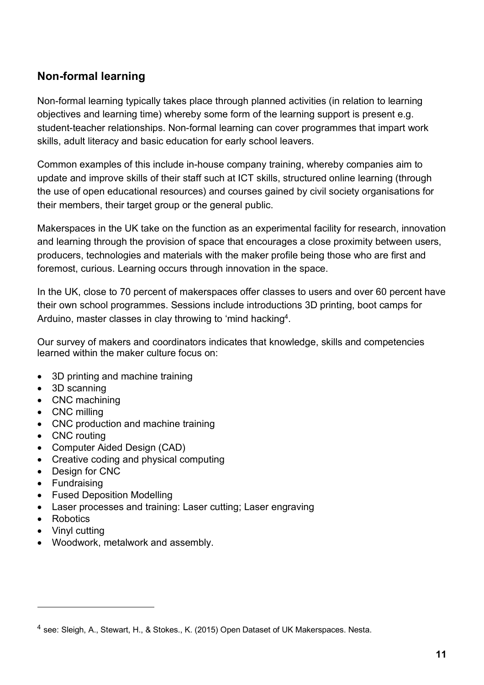#### **Non-formal learning**

Non-formal learning typically takes place through planned activities (in relation to learning objectives and learning time) whereby some form of the learning support is present e.g. student-teacher relationships. Non-formal learning can cover programmes that impart work skills, adult literacy and basic education for early school leavers.

Common examples of this include in-house company training, whereby companies aim to update and improve skills of their staff such at ICT skills, structured online learning (through the use of open educational resources) and courses gained by civil society organisations for their members, their target group or the general public.

Makerspaces in the UK take on the function as an experimental facility for research, innovation and learning through the provision of space that encourages a close proximity between users, producers, technologies and materials with the maker profile being those who are first and foremost, curious. Learning occurs through innovation in the space.

In the UK, close to 70 percent of makerspaces offer classes to users and over 60 percent have their own school programmes. Sessions include introductions 3D printing, boot camps for Arduino, master classes in clay throwing to 'mind hacking<sup>4</sup>.

Our survey of makers and coordinators indicates that knowledge, skills and competencies learned within the maker culture focus on:

- 3D printing and machine training
- 3D scanning
- CNC machining
- CNC milling
- CNC production and machine training
- CNC routing
- Computer Aided Design (CAD)
- Creative coding and physical computing
- Design for CNC
- Fundraising
- Fused Deposition Modelling
- Laser processes and training: Laser cutting; Laser engraving
- Robotics

 $\overline{a}$ 

- Vinyl cutting
- Woodwork, metalwork and assembly.

 $<sup>4</sup>$  see: Sleigh, A., Stewart, H., & Stokes., K. (2015) Open Dataset of UK Makerspaces. Nesta.</sup>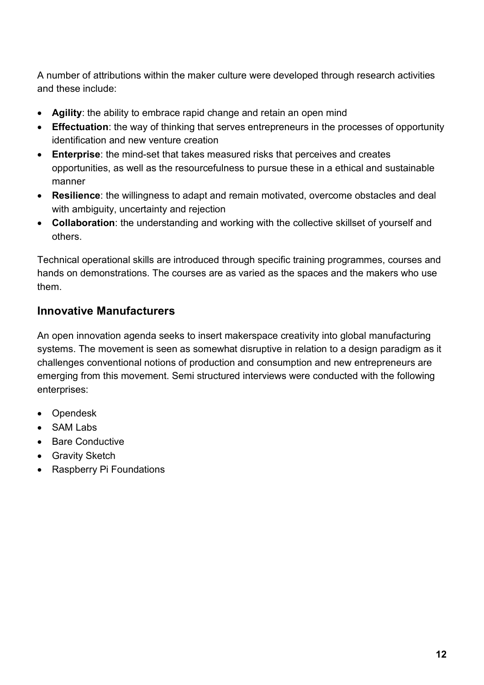A number of attributions within the maker culture were developed through research activities and these include:

- **Agility**: the ability to embrace rapid change and retain an open mind
- **Effectuation**: the way of thinking that serves entrepreneurs in the processes of opportunity identification and new venture creation
- **Enterprise**: the mind-set that takes measured risks that perceives and creates opportunities, as well as the resourcefulness to pursue these in a ethical and sustainable manner
- **Resilience**: the willingness to adapt and remain motivated, overcome obstacles and deal with ambiguity, uncertainty and rejection
- **Collaboration**: the understanding and working with the collective skillset of yourself and others.

Technical operational skills are introduced through specific training programmes, courses and hands on demonstrations. The courses are as varied as the spaces and the makers who use them.

#### **Innovative Manufacturers**

An open innovation agenda seeks to insert makerspace creativity into global manufacturing systems. The movement is seen as somewhat disruptive in relation to a design paradigm as it challenges conventional notions of production and consumption and new entrepreneurs are emerging from this movement. Semi structured interviews were conducted with the following enterprises:

- Opendesk
- SAM Labs
- Bare Conductive
- Gravity Sketch
- Raspberry Pi Foundations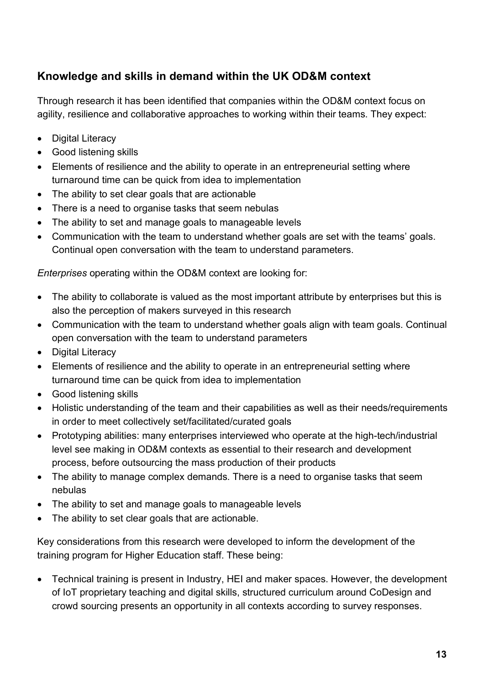#### **Knowledge and skills in demand within the UK OD&M context**

Through research it has been identified that companies within the OD&M context focus on agility, resilience and collaborative approaches to working within their teams. They expect:

- Digital Literacy
- Good listening skills
- Elements of resilience and the ability to operate in an entrepreneurial setting where turnaround time can be quick from idea to implementation
- The ability to set clear goals that are actionable
- There is a need to organise tasks that seem nebulas
- The ability to set and manage goals to manageable levels
- Communication with the team to understand whether goals are set with the teams' goals. Continual open conversation with the team to understand parameters.

*Enterprises* operating within the OD&M context are looking for:

- The ability to collaborate is valued as the most important attribute by enterprises but this is also the perception of makers surveyed in this research
- Communication with the team to understand whether goals align with team goals. Continual open conversation with the team to understand parameters
- Digital Literacy
- Elements of resilience and the ability to operate in an entrepreneurial setting where turnaround time can be quick from idea to implementation
- Good listening skills
- Holistic understanding of the team and their capabilities as well as their needs/requirements in order to meet collectively set/facilitated/curated goals
- Prototyping abilities: many enterprises interviewed who operate at the high-tech/industrial level see making in OD&M contexts as essential to their research and development process, before outsourcing the mass production of their products
- The ability to manage complex demands. There is a need to organise tasks that seem nebulas
- The ability to set and manage goals to manageable levels
- The ability to set clear goals that are actionable.

Key considerations from this research were developed to inform the development of the training program for Higher Education staff. These being:

• Technical training is present in Industry, HEI and maker spaces. However, the development of IoT proprietary teaching and digital skills, structured curriculum around CoDesign and crowd sourcing presents an opportunity in all contexts according to survey responses.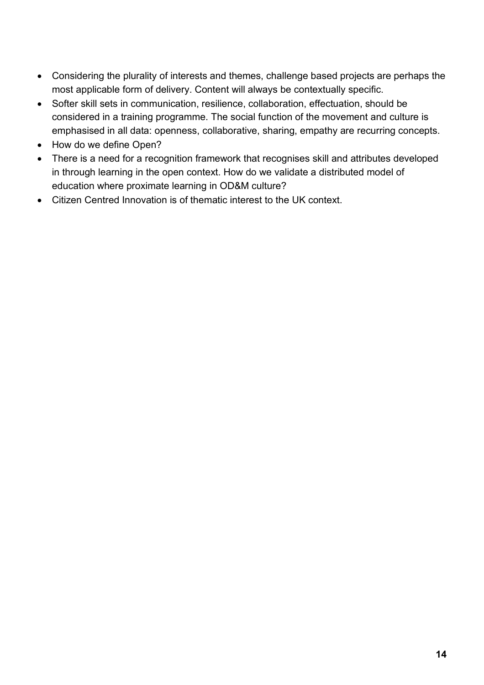- Considering the plurality of interests and themes, challenge based projects are perhaps the most applicable form of delivery. Content will always be contextually specific.
- Softer skill sets in communication, resilience, collaboration, effectuation, should be considered in a training programme. The social function of the movement and culture is emphasised in all data: openness, collaborative, sharing, empathy are recurring concepts.
- How do we define Open?
- There is a need for a recognition framework that recognises skill and attributes developed in through learning in the open context. How do we validate a distributed model of education where proximate learning in OD&M culture?
- Citizen Centred Innovation is of thematic interest to the UK context.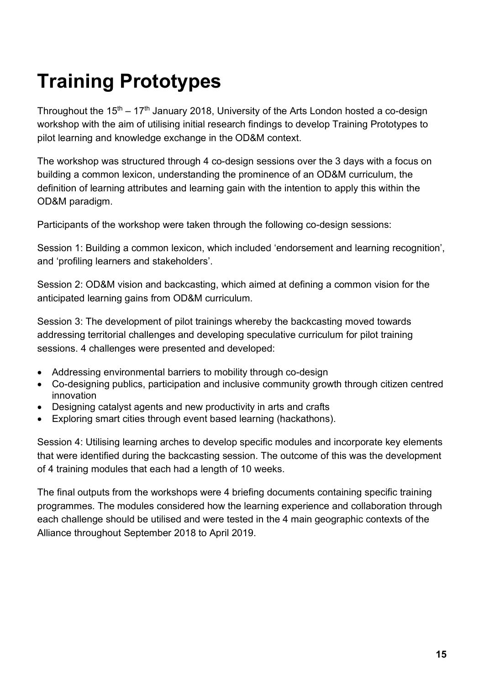## **Training Prototypes**

Throughout the  $15<sup>th</sup> - 17<sup>th</sup>$  January 2018, University of the Arts London hosted a co-design workshop with the aim of utilising initial research findings to develop Training Prototypes to pilot learning and knowledge exchange in the OD&M context.

The workshop was structured through 4 co-design sessions over the 3 days with a focus on building a common lexicon, understanding the prominence of an OD&M curriculum, the definition of learning attributes and learning gain with the intention to apply this within the OD&M paradigm.

Participants of the workshop were taken through the following co-design sessions:

Session 1: Building a common lexicon, which included 'endorsement and learning recognition', and 'profiling learners and stakeholders'.

Session 2: OD&M vision and backcasting, which aimed at defining a common vision for the anticipated learning gains from OD&M curriculum.

Session 3: The development of pilot trainings whereby the backcasting moved towards addressing territorial challenges and developing speculative curriculum for pilot training sessions. 4 challenges were presented and developed:

- Addressing environmental barriers to mobility through co-design
- Co-designing publics, participation and inclusive community growth through citizen centred innovation
- Designing catalyst agents and new productivity in arts and crafts
- Exploring smart cities through event based learning (hackathons).

Session 4: Utilising learning arches to develop specific modules and incorporate key elements that were identified during the backcasting session. The outcome of this was the development of 4 training modules that each had a length of 10 weeks.

The final outputs from the workshops were 4 briefing documents containing specific training programmes. The modules considered how the learning experience and collaboration through each challenge should be utilised and were tested in the 4 main geographic contexts of the Alliance throughout September 2018 to April 2019.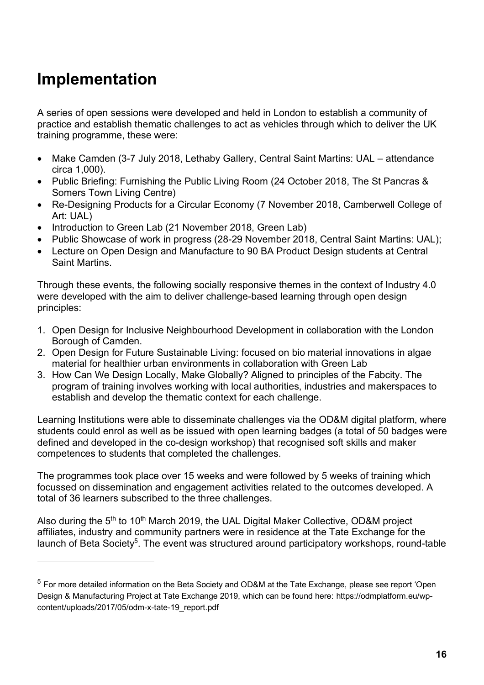### **Implementation**

l

A series of open sessions were developed and held in London to establish a community of practice and establish thematic challenges to act as vehicles through which to deliver the UK training programme, these were:

- Make Camden (3-7 July 2018, Lethaby Gallery, Central Saint Martins: UAL attendance circa 1,000).
- Public Briefing: Furnishing the Public Living Room (24 October 2018, The St Pancras & Somers Town Living Centre)
- Re-Designing Products for a Circular Economy (7 November 2018, Camberwell College of Art: UAL)
- Introduction to Green Lab (21 November 2018, Green Lab)
- Public Showcase of work in progress (28-29 November 2018, Central Saint Martins: UAL);
- Lecture on Open Design and Manufacture to 90 BA Product Design students at Central Saint Martins.

Through these events, the following socially responsive themes in the context of Industry 4.0 were developed with the aim to deliver challenge-based learning through open design principles:

- 1. Open Design for Inclusive Neighbourhood Development in collaboration with the London Borough of Camden.
- 2. Open Design for Future Sustainable Living: focused on bio material innovations in algae material for healthier urban environments in collaboration with Green Lab
- 3. How Can We Design Locally, Make Globally? Aligned to principles of the Fabcity. The program of training involves working with local authorities, industries and makerspaces to establish and develop the thematic context for each challenge.

Learning Institutions were able to disseminate challenges via the OD&M digital platform, where students could enrol as well as be issued with open learning badges (a total of 50 badges were defined and developed in the co-design workshop) that recognised soft skills and maker competences to students that completed the challenges.

The programmes took place over 15 weeks and were followed by 5 weeks of training which focussed on dissemination and engagement activities related to the outcomes developed. A total of 36 learners subscribed to the three challenges.

Also during the 5<sup>th</sup> to 10<sup>th</sup> March 2019, the UAL Digital Maker Collective, OD&M project affiliates, industry and community partners were in residence at the Tate Exchange for the launch of Beta Society<sup>5</sup>. The event was structured around participatory workshops, round-table

<sup>5</sup> For more detailed information on the Beta Society and OD&M at the Tate Exchange, please see report 'Open Design & Manufacturing Project at Tate Exchange 2019, which can be found here: https://odmplatform.eu/wpcontent/uploads/2017/05/odm-x-tate-19\_report.pdf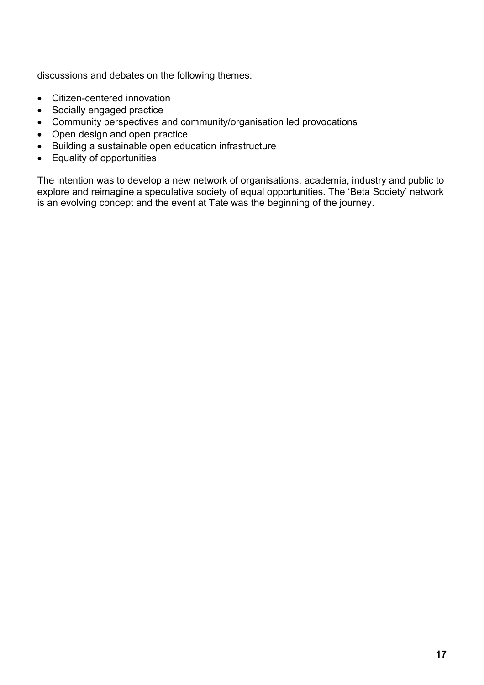discussions and debates on the following themes:

- Citizen-centered innovation
- Socially engaged practice
- Community perspectives and community/organisation led provocations
- Open design and open practice
- Building a sustainable open education infrastructure
- Equality of opportunities

The intention was to develop a new network of organisations, academia, industry and public to explore and reimagine a speculative society of equal opportunities. The 'Beta Society' network is an evolving concept and the event at Tate was the beginning of the journey.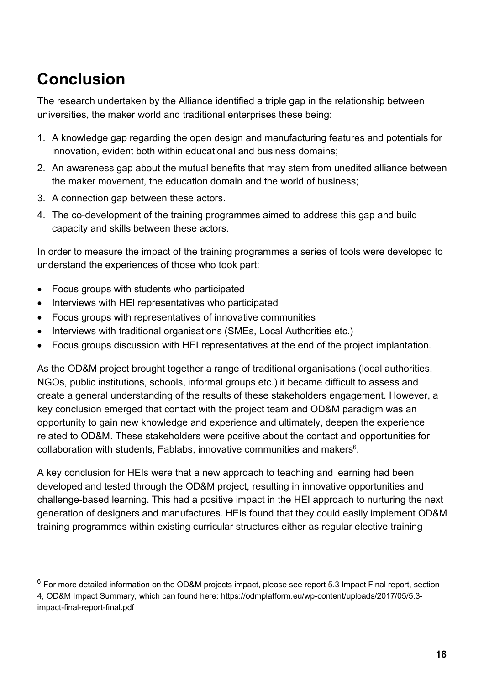## **Conclusion**

l

The research undertaken by the Alliance identified a triple gap in the relationship between universities, the maker world and traditional enterprises these being:

- 1. A knowledge gap regarding the open design and manufacturing features and potentials for innovation, evident both within educational and business domains;
- 2. An awareness gap about the mutual benefits that may stem from unedited alliance between the maker movement, the education domain and the world of business;
- 3. A connection gap between these actors.
- 4. The co-development of the training programmes aimed to address this gap and build capacity and skills between these actors.

In order to measure the impact of the training programmes a series of tools were developed to understand the experiences of those who took part:

- Focus groups with students who participated
- Interviews with HEI representatives who participated
- Focus groups with representatives of innovative communities
- Interviews with traditional organisations (SMEs, Local Authorities etc.)
- Focus groups discussion with HEI representatives at the end of the project implantation.

As the OD&M project brought together a range of traditional organisations (local authorities, NGOs, public institutions, schools, informal groups etc.) it became difficult to assess and create a general understanding of the results of these stakeholders engagement. However, a key conclusion emerged that contact with the project team and OD&M paradigm was an opportunity to gain new knowledge and experience and ultimately, deepen the experience related to OD&M. These stakeholders were positive about the contact and opportunities for collaboration with students, Fablabs, innovative communities and makers $6$ .

A key conclusion for HEIs were that a new approach to teaching and learning had been developed and tested through the OD&M project, resulting in innovative opportunities and challenge-based learning. This had a positive impact in the HEI approach to nurturing the next generation of designers and manufactures. HEIs found that they could easily implement OD&M training programmes within existing curricular structures either as regular elective training

 $6$  For more detailed information on the OD&M projects impact, please see report 5.3 Impact Final report, section 4, OD&M Impact Summary, which can found here: https://odmplatform.eu/wp-content/uploads/2017/05/5.3impact-final-report-final.pdf